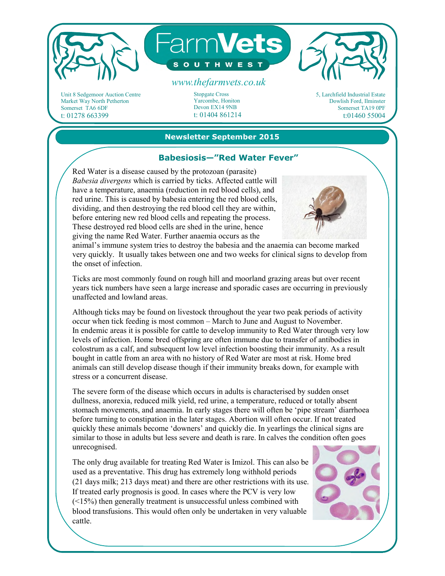

Unit 8 Sedgemoor Auction Centre Market Way North Petherton Somerset TA6 6DF t: 01278 663399

Stopgate Cross Yarcombe, Honiton Devon EX14 9NB t: 01404 861214

5, Larchfield Industrial Estate Dowlish Ford, Ilminster Somerset TA19 0PF t:01460 55004

#### **Newsletter September 2015**

## **Babesiosis—"Red Water Fever"**

Red Water is a disease caused by the protozoan (parasite) *Babesia divergens* which is carried by ticks. Affected cattle will have a temperature, anaemia (reduction in red blood cells), and red urine. This is caused by babesia entering the red blood cells, dividing, and then destroying the red blood cell they are within, before entering new red blood cells and repeating the process. These destroyed red blood cells are shed in the urine, hence giving the name Red Water. Further anaemia occurs as the



animal's immune system tries to destroy the babesia and the anaemia can become marked very quickly. It usually takes between one and two weeks for clinical signs to develop from the onset of infection.

Ticks are most commonly found on rough hill and moorland grazing areas but over recent years tick numbers have seen a large increase and sporadic cases are occurring in previously unaffected and lowland areas.

Although ticks may be found on livestock throughout the year two peak periods of activity occur when tick feeding is most common – March to June and August to November. In endemic areas it is possible for cattle to develop immunity to Red Water through very low levels of infection. Home bred offspring are often immune due to transfer of antibodies in colostrum as a calf, and subsequent low level infection boosting their immunity. As a result bought in cattle from an area with no history of Red Water are most at risk. Home bred animals can still develop disease though if their immunity breaks down, for example with stress or a concurrent disease.

The severe form of the disease which occurs in adults is characterised by sudden onset dullness, anorexia, reduced milk yield, red urine, a temperature, reduced or totally absent stomach movements, and anaemia. In early stages there will often be 'pipe stream' diarrhoea before turning to constipation in the later stages. Abortion will often occur. If not treated quickly these animals become 'downers' and quickly die. In yearlings the clinical signs are similar to those in adults but less severe and death is rare. In calves the condition often goes unrecognised.

The only drug available for treating Red Water is Imizol. This can also be used as a preventative. This drug has extremely long withhold periods (21 days milk; 213 days meat) and there are other restrictions with its use. If treated early prognosis is good. In cases where the PCV is very low  $(\leq 15\%)$  then generally treatment is unsuccessful unless combined with blood transfusions. This would often only be undertaken in very valuable cattle.